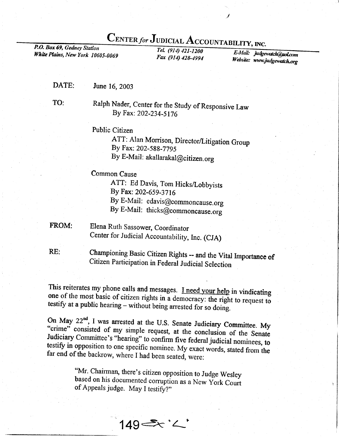## $\frac{\text{CENTER for JUDICIAL ACCOUNTABLEITY, INC.}}{Tel. (914) 421-1200}$

**White Plains, New York 10605-0069** Fax  $(914)$  428-4994

Website: www.judgewatch.or E-Mail: judgewatch@aol.com

DATE: June 16,2003

TO:

Ralph Nader, Center for the Study of Responsive Law By Fax: 202-234-5176

Public Citizen

ATT: Alan Morrison, Director/Litigation Group By Fax: 202-589-779s By E-Mail: akallarakal@citizen.org

Common Cause

ATT: Ed Davis, Tom Hicks/Lobbyists By Fax: 202-659-37t6 By E-Mail: edavis@commoncause.org By E-Mail: thicks@commoncause.org

FROM: Elena Ruth Sassower, Coordinator Center for Judicial Accountability, Inc. (CJA)

championing Basic citizen Rights - and the vital Importance of citizen Participation in Federal Judicial selection RE:

This reiterates my phone calls and messages. <u>I need your help</u> in vindicating one of the most basic of citizen rights in a democracy: the right to request to testify at a public hearing – without being arrested for so doi

On May  $22^{nd}$ , I was arrested at the U.S. Senate Judiciary Committee. My "crime" consisted of my simple request, at the conclusion of the Senate Judiciary Committee's "hearing" to confirm five federal judicial nominees,

"Mr. Chairman, there's citizen opposition to Judge Wesley based on his documented corruption as a New York Court of Appeals judge. May I testify?"

149=x'<'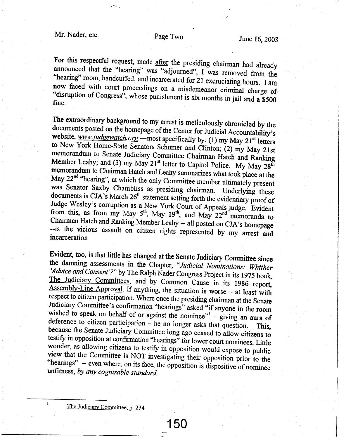For this respectful request, made after the presiding chairman had already announced that the "hearing" was "adjourned", I was removed from the "hearing" room, handcuffed, and incarcerated for 21 excruciating hours. I am<br>now faced with court proceedings on a misdemeanor criminal charge of<br>"disruption of Congress", whose punishment is six months in jail and a \$500<br>

The extraordinary background to my arrest is meticulously chronicled by the documents posted on the homepage of the Center for Judicial Accountability's website, <u>www.judgewatch.org</u>.—most specifically by: (1) my May 21<sup>s</sup> Judge Wesley's corruption as a New York Court of Appeals judge. Evident From- The Victor of Ranking Member Leahy -- all posted on CJA's homepage<br>--is the vicious assault on citizen rights represented by my arrest and incarceration

Evident, too, is that little has changed at the Senate Judiciary Committee since<br>the damning assessments in the Chapter, "Judicial Nominations: Whither<br>'Advice and Consent'?" by The Ralph Nader Congress Project in its 1975 'Advice and Consent'?" by The Ralph Nader Congress Project in its 1975 book, Assembly-Line Approval. If anything, the situation is worse - at least with respect to citizen participation. Where once the presiding chairman at the Senate Judiciary Committee's confirmation "hearings" asked "if anyone in the room wished to speak on behalf of or against the nominee" $\frac{1}{2}$  – giving an aura of deference to citizen participation  $-$  he no longer asks that question. This, because the Senate Judiciary Committee long ago ceased to allow citizens to testify in opposition at confirmation "hearings" for lower court no

The Judiciary Committee, p. 234

 $\mathbf{1}$ 

150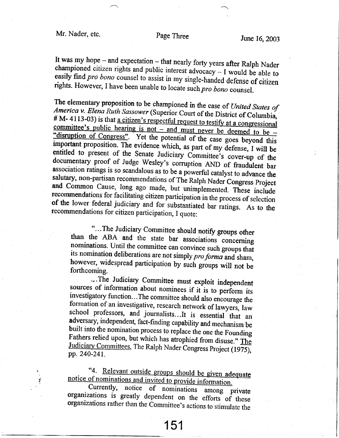## Page Three

It was my hope - and expectation - that nearly forty years after Ralph Nader championed citizen rights and public interest advocacy  $- I$  would be able to easily find pro bono counsel to assist in my single-handed defense of citizen rights. However, I have been unable to locate such pro bono counsel.

The elementary proposition to be championed in the case of United States of America v. Elena Ruth Sassower (Superior Court of the District of Columbia, # M-4113-03) is that a citizen's respectful request to testify at a congressional committee's public hearing is not – and must never be deemed to be – "disruption of Congress". Yet the potential of the case goes beyond this important proposition. The evidence which, as part of my defense, I will be entitled to present of the Senate Judiciary Committee's cover-up of the documentary proof of Judge Wesley's corruption AND of fraudulent bar association ratings is so scandalous as to be a powerful catalyst to advance the salutary, non-partisan recommendations of The Ralph Nader Congress Project and Common Cause, long ago made, but unimplemented. These include recommendations for facilitating citizen participation in the process of selection of the lower federal judiciary and for substantiated bar ratings. As to the recommendations for citizen participation, I quote:

"...The Judiciary Committee should notify groups other than the ABA and the state bar associations concerning nominations. Until the committee can convince such groups that its nomination deliberations are not simply pro forma and sham, however, widespread participation by such groups will not be forthcoming.

...The Judiciary Committee must exploit independent sources of information about nominees if it is to perform its investigatory function...The committee should also encourage the formation of an investigative, research network of lawyers, law school professors, and journalists...It is essential that an adversary, independent, fact-finding capability and mechanism be built into the nomination process to replace the one the Founding Fathers relied upon, but which has atrophied from disuse." The Judiciary Committees, The Ralph Nader Congress Project (1975), pp. 240-241.

"4. Relevant outside groups should be given adequate notice of nominations and invited to provide information.

Currently, notice of nominations among private organizations is greatly dependent on the efforts of these organizations rather than the Committee's actions to stimulate the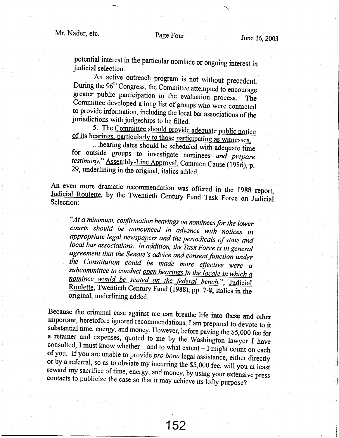potential interest in the particular nominee or ongoing interest in judicial selection.<br>An active outreach program is not without precedent.

During the 96<sup>th</sup> Congress, the Committee attempted to encourage<br>greater public participation in the evaluation process. The<br>Committee developed a long list of groups who were contacted<br>to provide information, including th

...hearing dates should be scheduled with adequate for outside groups to investigate nominees and prepare testimony." Assembly-Line Approval, Common Cause (1986), p. 29, underlining in the original, italics added.

An even more dramatic recommendation was offered in the 1988 report, Judicial Roulette, by the Twentieth Century Fund Task Force on Judicial Selection:

"At a minimum, confirmation hearings on nominees for the lower<br>courts should be announced in advance with notices in<br>appropriate legal newspapers and the periodicals of state and local bar associations. In addition, the Task Force is in general<br>agreement that the Senate's advice and consent function under<br>the Constitution could be made more effective were a subcommittee to conduct open hearings in the locale in which a nominee would be seated on the federal bench.", Judicial Roulette, Twentieth Century Fund (1988), pp. 7-8, italics in the original, underlining added.

Because the criminal case against me can breathe life into these and other<br>important, heretofore ignored recommendations, I am prepared to devote to it<br>substantial time, energy, and money. However, before paying the \$5,00 '